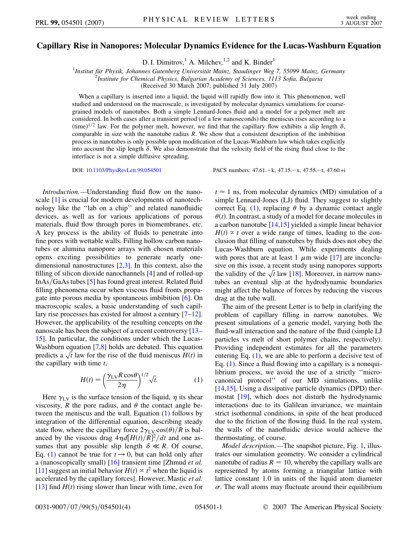## **Capillary Rise in Nanopores: Molecular Dynamics Evidence for the Lucas-Washburn Equation**

D. I. Dimitrov,<sup>1</sup> A. Milchev,<sup>1,2</sup> and K. Binder<sup>1</sup>

<sup>1</sup>Institut für Physik, Johannes Gutenberg Universität Mainz, Staudinger Weg 7, 55099 Mainz, Germany<br><sup>2</sup>Institute for Chemical Physics, Bulgarian Academy of Sciences, 1113 Sofia, Bulgaria

*Institute for Chemical Physics, Bulgarian Academy of Sciences, 1113 Sofia, Bulgaria*

(Received 30 March 2007; published 31 July 2007)

When a capillary is inserted into a liquid, the liquid will rapidly flow into it. This phenomenon, well studied and understood on the macroscale, is investigated by molecular dynamics simulations for coarsegrained models of nanotubes. Both a simple Lennard-Jones fluid and a model for a polymer melt are considered. In both cases after a transient period (of a few nanoseconds) the meniscus rises according to a  $(\text{time})^{1/2}$  law. For the polymer melt, however, we find that the capillary flow exhibits a slip length  $\delta$ , comparable in size with the nanotube radius *R*. We show that a consistent description of the imbibition process in nanotubes is only possible upon modification of the Lucas-Washburn law which takes explicitly into account the slip length  $\delta$ . We also demonstrate that the velocity field of the rising fluid close to the interface is not a simple diffusive spreading.

*Introduction.—*Understanding fluid flow on the nanoscale [\[1\]](#page-3-0) is crucial for modern developments of nanotechnology like the ''lab on a chip'' and related nanofluidic devices, as well as for various applications of porous materials, fluid flow through pores in biomembranes, etc. A key process is the ability of fluids to penetrate into fine pores with wettable walls. Filling hollow carbon nanotubes or alumina nanopore arrays with chosen materials opens exciting possibilities to generate nearly onedimensional nanostructures [\[2,](#page-3-1)[3](#page-3-2)]. In this context, also the filling of silicon dioxide nanochannels [\[4\]](#page-3-3) and of rolled-up InAs/GaAs tubes [\[5](#page-3-4)] has found great interest. Related fluid filling phenomena occur when viscous fluid fronts propagate into porous media by spontaneous imbibition [[6](#page-3-5)]. On macroscopic scales, a basic understanding of such capillary rise processes has existed for almost a century [[7](#page-3-6)–[12\]](#page-3-7). However, the applicability of the resulting concepts on the nanoscale has been the subject of a recent controversy [[13](#page-3-8)– [15](#page-3-9)]. In particular, the conditions under which the Lucas-Washburn equation  $[7,8]$  $[7,8]$  $[7,8]$  $[7,8]$  holds are debated. This equation washourn equation [ $\ell$ ,8] noids are debated. This equation<br>predicts a  $\sqrt{t}$  law for the rise of the fluid meniscus  $H(t)$  in the capillary with time *t*,

$$
H(t) = \left(\frac{\gamma_{\rm LV} R \cos \theta}{2\eta}\right)^{1/2} \sqrt{t}.\tag{1}
$$

<span id="page-0-0"></span>Here  $\gamma_{LV}$  is the surface tension of the liquid,  $\eta$  its shear viscosity, *R* the pore radius, and  $\theta$  the contact angle between the meniscus and the wall. Equation [\(1\)](#page-0-0) follows by integration of the differential equation, describing steady state flow, where the capillary force  $2\gamma_{\rm LV}\cos(\theta)/R$  is balanced by the viscous drag  $4\eta d[H(t)/R]^2/dt$  and one assumes that any possible slip length  $\delta \ll R$ . Of course, Eq. [\(1\)](#page-0-0) cannot be true for  $t \rightarrow 0$ , but can hold only after a (nanoscopically small) [[16\]](#page-3-11) transient time [Zhmud *et al.* [\[11\]](#page-3-12) suggest an initial behavior  $H(t) \propto t^2$  when the liquid is accelerated by the capillary forces]. However, Mastic *et al.* [\[13\]](#page-3-8) find  $H(t)$  rising slower than linear with time, even for

DOI: [10.1103/PhysRevLett.99.054501](http://dx.doi.org/10.1103/PhysRevLett.99.054501) PACS numbers: 47.61. - k, 47.15. - x, 47.55. - t, 47.60.+i

 $t \approx 1$  ns, from molecular dynamics (MD) simulation of a simple Lennard-Jones (LJ) fluid. They suggest to slightly correct Eq. [\(1](#page-0-0)), replacing  $\theta$  by a dynamic contact angle  $\theta(t)$ . In contrast, a study of a model for decane molecules in a carbon nanotube [\[14,](#page-3-13)[15\]](#page-3-9) yielded a simple linear behavior  $H(t) \propto t$  over a wide range of times, leading to the conclusion that filling of nanotubes by fluids does not obey the Lucas-Washburn equation. While experiments dealing with pores that are at least 1  $\mu$ m wide [\[17](#page-3-14)] are inconclusive on this issue, a recent study using nanopores supports sive on this issue, a recent study using nanopores supports<br>the validity of the  $\sqrt{t}$  law [\[18\]](#page-3-15). Moreover, in narrow nanotubes an eventual slip at the hydrodynamic boundaries might affect the balance of forces by reducing the viscous drag at the tube wall.

The aim of the present Letter is to help in clarifying the problem of capillary filling in narrow nanotubes. We present simulations of a generic model, varying both the fluid-wall interaction and the nature of the fluid (simple LJ particles vs melt of short polymer chains, respectively). Providing independent estimates for all the parameters entering Eq. [\(1\)](#page-0-0), we are able to perform a decisive test of Eq. ([1\)](#page-0-0). Since a fluid flowing into a capillary is a nonequilibrium process, we avoid the use of a strictly ''microcanonical protocol'' of our MD simulations, unlike [\[14](#page-3-13)[,15\]](#page-3-9). Using a dissipative particle dynamics (DPD) thermostat [[19](#page-3-16)], which does not disturb the hydrodynamic interactions due to its Galilean invariance, we maintain strict isothermal conditions, in spite of the heat produced due to the friction of the flowing fluid. In the real system, the walls of the nanofluidic device would achieve the thermostating, of course.

*Model description.—*The snapshot picture, Fig. [1](#page-1-0), illustrates our simulation geometry. We consider a cylindrical nanotube of radius  $R = 10$ , whereby the capillary walls are represented by atoms forming a triangular lattice with lattice constant 1.0 in units of the liquid atom diameter  $\sigma$ . The wall atoms may fluctuate around their equilibrium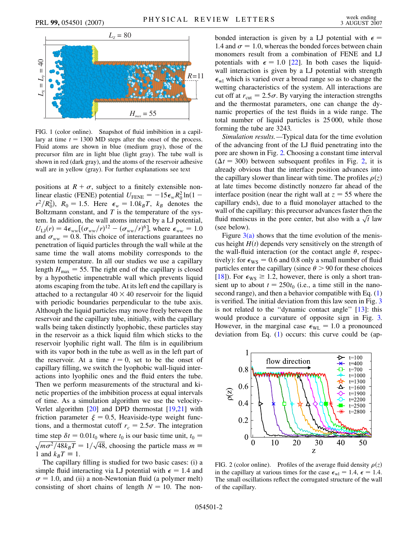<span id="page-1-0"></span>

FIG. 1 (color online). Snapshot of fluid imbibition in a capillary at time  $t = 1300$  MD steps after the onset of the process. Fluid atoms are shown in blue (medium gray), those of the precursor film are in light blue (light gray). The tube wall is shown in red (dark gray), and the atoms of the reservoir adhesive wall are in yellow (gray). For further explanations see text

positions at  $R + \sigma$ , subject to a finitely extensible nonlinear elastic (FENE) potential  $U_{\text{FENE}} = -15\epsilon_w R_0^2 \ln(1$  $r^2/R_0^2$ ,  $R_0 = 1.5$ . Here  $\epsilon_w = 1.0k_B T$ ,  $k_B$  denotes the Boltzmann constant, and *T* is the temperature of the system. In addition, the wall atoms interact by a LJ potential,  $U_{\text{LJ}}(r) = 4\epsilon_{ww}[(\sigma_{ww}/r)^{12} - (\sigma_{ww}/r)^{6}],$  where  $\epsilon_{ww} = 1.0$ and  $\sigma_{ww} = 0.8$ . This choice of interactions guarantees no penetration of liquid particles through the wall while at the same time the wall atoms mobility corresponds to the system temperature. In all our studies we use a capillary length  $H_{\text{max}} = 55$ . The right end of the capillary is closed by a hypothetic impenetrable wall which prevents liquid atoms escaping from the tube. At its left end the capillary is attached to a rectangular  $40 \times 40$  reservoir for the liquid with periodic boundaries perpendicular to the tube axis. Although the liquid particles may move freely between the reservoir and the capillary tube, initially, with the capillary walls being taken distinctly lyophobic, these particles stay in the reservoir as a thick liquid film which sticks to the reservoir lyophilic right wall. The film is in equilibrium with its vapor both in the tube as well as in the left part of the reservoir. At a time  $t = 0$ , set to be the onset of capillary filling, we switch the lyophobic wall-liquid interactions into lyophilic ones and the fluid enters the tube. Then we perform measurements of the structural and kinetic properties of the imbibition process at equal intervals of time. As a simulation algorithm we use the velocity-Verlet algorithm [[20](#page-3-17)] and DPD thermostat [[19](#page-3-16),[21](#page-3-18)] with friction parameter  $\xi = 0.5$ , Heaviside-type weight functions, and a thermostat cutoff  $r_c = 2.5\sigma$ . The integration time step  $\delta t = 0.01t_0$  where  $t_0$  is our basic time unit,  $t_0 =$  $\sqrt{m\sigma^2/48k_BT} = 1/\sqrt{48}$ , choosing the particle mass  $m \equiv$ 1 and  $k_BT \equiv 1$ .

The capillary filling is studied for two basic cases: (i) a simple fluid interacting via LJ potential with  $\epsilon = 1.4$  and  $\sigma = 1.0$ , and (ii) a non-Newtonian fluid (a polymer melt) consisting of short chains of length  $N = 10$ . The nonbonded interaction is given by a LJ potential with  $\epsilon$  = 1.4 and  $\sigma = 1.0$ , whereas the bonded forces between chain monomers result from a combination of FENE and LJ potentials with  $\epsilon = 1.0$  [[22](#page-3-19)]. In both cases the liquidwall interaction is given by a LJ potential with strength  $\epsilon_{\rmwl}$  which is varied over a broad range so as to change the wetting characteristics of the system. All interactions are cut off at  $r_{\text{cut}} = 2.5\sigma$ . By varying the interaction strengths and the thermostat parameters, one can change the dynamic properties of the test fluids in a wide range. The total number of liquid particles is 25 000, while those forming the tube are 3243.

*Simulation results.—*Typical data for the time evolution of the advancing front of the LJ fluid penetrating into the pore are shown in Fig. [2.](#page-1-1) Choosing a constant time interval  $(\Delta t = 300)$  between subsequent profiles in Fig. [2,](#page-1-1) it is already obvious that the interface position advances into the capillary slower than linear with time. The profiles  $\rho(z)$ at late times become distinctly nonzero far ahead of the interface position (near the right wall at  $z = 55$  where the capillary ends), due to a fluid monolayer attached to the wall of the capillary: this precursor advances faster then the wall of the capillary: this precursor advances raster then the fluid meniscus in the pore center, but also with a  $\sqrt{t}$  law (see below).

Figure  $3(a)$  shows that the time evolution of the meniscus height  $H(t)$  depends very sensitively on the strength of the wall-fluid interaction (or the contact angle  $\theta$ , respectively): for  $\epsilon_{\text{WS}} = 0.6$  and 0.8 only a small number of fluid particles enter the capillary (since  $\theta$  > 90 for these choices [\[18\]](#page-3-15)). For  $\epsilon_{\text{WS}} \geq 1.2$ , however, there is only a short transient up to about  $t = 250t_0$  (i.e., a time still in the nanosecond range), and then a behavior compatible with Eq. [\(1\)](#page-0-0) is verified. The initial deviation from this law seen in Fig. [3](#page-2-1) is not related to the ''dynamic contact angle'' [[13](#page-3-8)]: this would produce a curvature of opposite sign in Fig. [3.](#page-2-1) However, in the marginal case  $\epsilon_{\text{WL}} = 1.0$  a pronounced deviation from Eq. ([1\)](#page-0-0) occurs: this curve could be (ap-

<span id="page-1-1"></span>

FIG. 2 (color online). Profiles of the average fluid density  $\rho(z)$ in the capillary at various times for the case  $\epsilon_{wl} = 1.4, \epsilon = 1.4$ . The small oscillations reflect the corrugated structure of the wall of the capillary.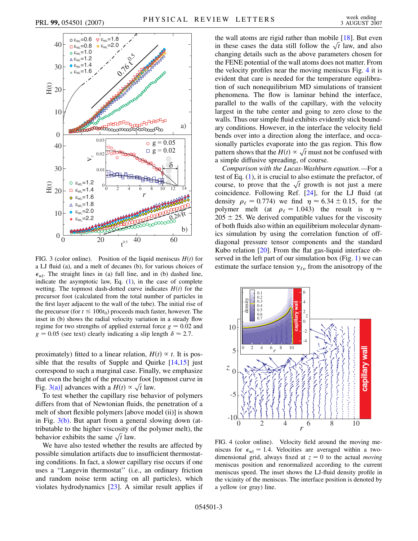<span id="page-2-1"></span>

<span id="page-2-0"></span>FIG. 3 (color online). Position of the liquid meniscus  $H(t)$  for a LJ fluid (a), and a melt of decanes (b), for various choices of  $\epsilon_{wl}$ . The straight lines in (a) full line, and in (b) dashed line, indicate the asymptotic law, Eq. ([1](#page-0-0)), in the case of complete wetting. The topmost dash-dotted curve indicates  $H(t)$  for the precursor foot (calculated from the total number of particles in the first layer adjacent to the wall of the tube). The initial rise of the precursor (for  $t \le 100t_0$ ) proceeds much faster, however. The inset in (b) shows the radial velocity variation in a steady flow regime for two strengths of applied external force  $g = 0.02$  and  $g = 0.05$  (see text) clearly indicating a slip length  $\delta \approx 2.7$ .

proximately) fitted to a linear relation,  $H(t) \propto t$ . It is possible that the results of Supple and Quirke  $[14,15]$  $[14,15]$  just correspond to such a marginal case. Finally, we emphasize that even the height of the precursor foot [topmost curve in that even the neight of the precursor foot [<br>Fig. [3\(a\)](#page-2-0)] advances with a  $H(t) \propto \sqrt{t}$  law.

To test whether the capillary rise behavior of polymers differs from that of Newtonian fluids, the penetration of a melt of short flexible polymers [above model (ii)] is shown in Fig. [3\(b\).](#page-2-0) But apart from a general slowing down (attributable to the higher viscosity of the polymer melt), the molection to the nigher viscosity of the same  $\sqrt{t}$  law.

We have also tested whether the results are affected by possible simulation artifacts due to insufficient thermostating conditions. In fact, a slower capillary rise occurs if one uses a ''Langevin thermostat'' (i.e., an ordinary friction and random noise term acting on all particles), which violates hydrodynamics [[23](#page-3-20)]. A similar result applies if the wall atoms are rigid rather than mobile  $[18]$  $[18]$  $[18]$ . But even the wall atoms are rigid rather than mobile  $[18]$ . But even<br>in these cases the data still follow the  $\sqrt{t}$  law, and also changing details such as the above parameters chosen for the FENE potential of the wall atoms does not matter. From the velocity profiles near the moving meniscus Fig. [4](#page-2-2) it is evident that care is needed for the temperature equilibration of such nonequilibrium MD simulations of transient phenomena. The flow is laminar behind the interface, parallel to the walls of the capillary, with the velocity largest in the tube center and going to zero close to the walls. Thus our simple fluid exhibits evidently stick boundary conditions. However, in the interface the velocity field bends over into a direction along the interface, and occasionally particles evaporate into the gas region. This flow sionally particles evaporate into the gas region. This now<br>pattern shows that the  $H(t) \propto \sqrt{t}$  must not be confused with a simple diffusive spreading, of course.

*Comparison with the Lucas-Washburn equation.—*For a test of Eq. [\(1\)](#page-0-0), it is crucial to also estimate the prefactor, of test of Eq. (1), it is crucial to also estimate the prefactor, of course, to prove that the  $\sqrt{t}$  growth is not just a mere coincidence. Following Ref. [[24](#page-3-21)], for the LJ fluid (at density  $\rho_{\ell} = 0.774$ ) we find  $\eta \approx 6.34 \pm 0.15$ , for the polymer melt (at  $\rho_{\ell} = 1.043$ ) the result is  $\eta \approx$  $205 \pm 25$ . We derived compatible values for the viscosity of both fluids also within an equilibrium molecular dynamics simulation by using the correlation function of offdiagonal pressure tensor components and the standard Kubo relation [[20](#page-3-17)]. From the flat gas-liquid interface observed in the left part of our simulation box (Fig. [1](#page-1-0)) we can estimate the surface tension  $\gamma_{\ell v}$  from the anisotropy of the

<span id="page-2-2"></span>

FIG. 4 (color online). Velocity field around the moving meniscus for  $\epsilon_{wl} = 1.4$ . Velocities are averaged within a twodimensional grid, always fixed at  $z = 0$  to the actual *moving* meniscus position and renormalized according to the current meniscus speed. The inset shows the LJ-fluid density profile in the vicinity of the meniscus. The interface position is denoted by a yellow (or gray) line.